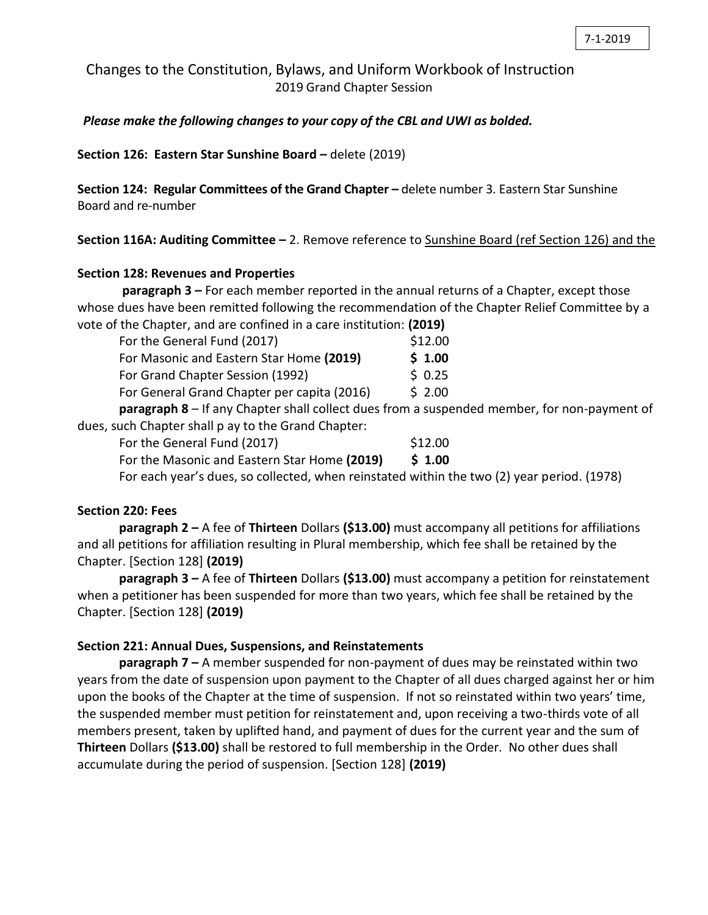Changes to the Constitution, Bylaws, and Uniform Workbook of Instruction 2019 Grand Chapter Session

*Please make the following changes to your copy of the CBL and UWI as bolded.*

**Section 126: Eastern Star Sunshine Board –** delete (2019)

**Section 124: Regular Committees of the Grand Chapter –** delete number 3. Eastern Star Sunshine Board and re-number

**Section 116A: Auditing Committee –** 2. Remove reference to Sunshine Board (ref Section 126) and the

### **Section 128: Revenues and Properties**

**paragraph 3 –** For each member reported in the annual returns of a Chapter, except those whose dues have been remitted following the recommendation of the Chapter Relief Committee by a vote of the Chapter, and are confined in a care institution: **(2019)**

|                                                     | For the General Fund (2017)                                                                        | \$12.00 |  |
|-----------------------------------------------------|----------------------------------------------------------------------------------------------------|---------|--|
|                                                     | For Masonic and Eastern Star Home (2019)                                                           | \$1.00  |  |
|                                                     | For Grand Chapter Session (1992)                                                                   | \$0.25  |  |
|                                                     | For General Grand Chapter per capita (2016)                                                        | \$2.00  |  |
|                                                     | <b>paragraph 8</b> – If any Chapter shall collect dues from a suspended member, for non-payment of |         |  |
| dues, such Chapter shall p ay to the Grand Chapter: |                                                                                                    |         |  |
|                                                     | For the General Fund (2017)                                                                        | \$12.00 |  |
|                                                     | For the Masonic and Eastern Star Home (2019)                                                       | \$1.00  |  |
|                                                     |                                                                                                    |         |  |

For each year's dues, so collected, when reinstated within the two (2) year period. (1978)

#### **Section 220: Fees**

**paragraph 2 –** A fee of **Thirteen** Dollars **(\$13.00)** must accompany all petitions for affiliations and all petitions for affiliation resulting in Plural membership, which fee shall be retained by the Chapter. [Section 128] **(2019)**

**paragraph 3 –** A fee of **Thirteen** Dollars **(\$13.00)** must accompany a petition for reinstatement when a petitioner has been suspended for more than two years, which fee shall be retained by the Chapter. [Section 128] **(2019)**

#### **Section 221: Annual Dues, Suspensions, and Reinstatements**

**paragraph 7 –** A member suspended for non-payment of dues may be reinstated within two years from the date of suspension upon payment to the Chapter of all dues charged against her or him upon the books of the Chapter at the time of suspension. If not so reinstated within two years' time, the suspended member must petition for reinstatement and, upon receiving a two-thirds vote of all members present, taken by uplifted hand, and payment of dues for the current year and the sum of **Thirteen** Dollars **(\$13.00)** shall be restored to full membership in the Order. No other dues shall accumulate during the period of suspension. [Section 128] **(2019)**